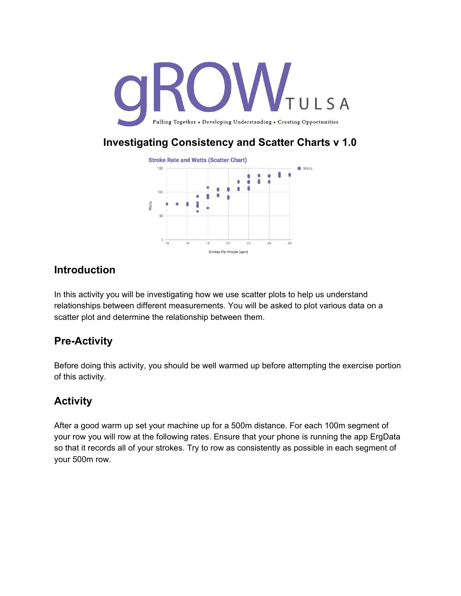

### **Investigating Consistency and Scatter Charts v 1.0**



#### **Introduction**

In this activity you will be investigating how we use scatter plots to help us understand relationships between different measurements. You will be asked to plot various data on a scatter plot and determine the relationship between them.

## **Pre-Activity**

Before doing this activity, you should be well warmed up before attempting the exercise portion of this activity.

# **Activity**

After a good warm up set your machine up for a 500m distance. For each 100m segment of your row you will row at the following rates. Ensure that your phone is running the app ErgData so that it records all of your strokes. Try to row as consistently as possible in each segment of your 500m row.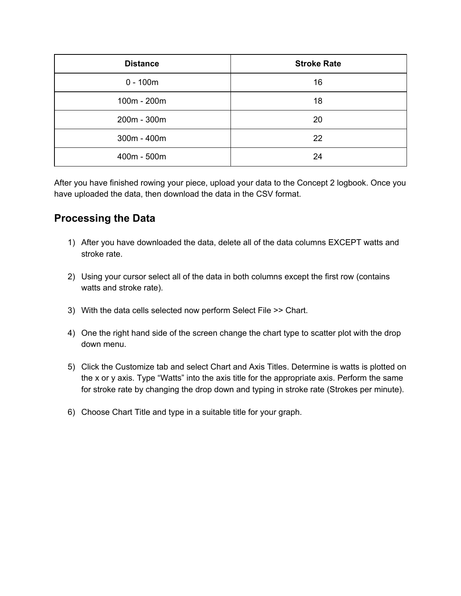| <b>Distance</b> | <b>Stroke Rate</b> |
|-----------------|--------------------|
| $0 - 100m$      | 16                 |
| 100m - 200m     | 18                 |
| 200m - 300m     | 20                 |
| $300m - 400m$   | 22                 |
| 400m - 500m     | 24                 |

After you have finished rowing your piece, upload your data to the Concept 2 logbook. Once you have uploaded the data, then download the data in the CSV format.

#### **Processing the Data**

- 1) After you have downloaded the data, delete all of the data columns EXCEPT watts and stroke rate.
- 2) Using your cursor select all of the data in both columns except the first row (contains watts and stroke rate).
- 3) With the data cells selected now perform Select File >> Chart.
- 4) One the right hand side of the screen change the chart type to scatter plot with the drop down menu.
- 5) Click the Customize tab and select Chart and Axis Titles. Determine is watts is plotted on the x or y axis. Type "Watts" into the axis title for the appropriate axis. Perform the same for stroke rate by changing the drop down and typing in stroke rate (Strokes per minute).
- 6) Choose Chart Title and type in a suitable title for your graph.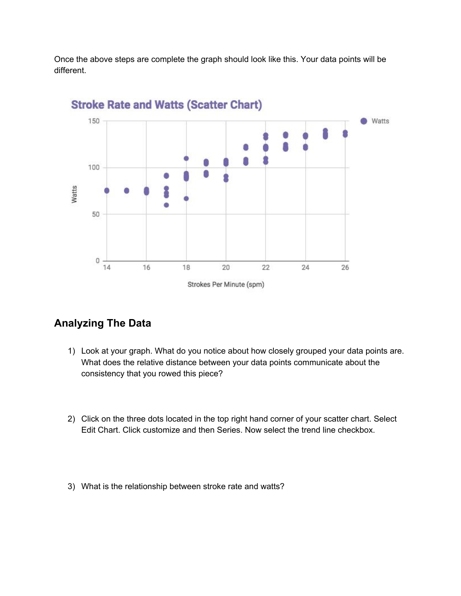Once the above steps are complete the graph should look like this. Your data points will be different.



## **Stroke Rate and Watts (Scatter Chart)**

#### **Analyzing The Data**

- 1) Look at your graph. What do you notice about how closely grouped your data points are. What does the relative distance between your data points communicate about the consistency that you rowed this piece?
- 2) Click on the three dots located in the top right hand corner of your scatter chart. Select Edit Chart. Click customize and then Series. Now select the trend line checkbox.
- 3) What is the relationship between stroke rate and watts?